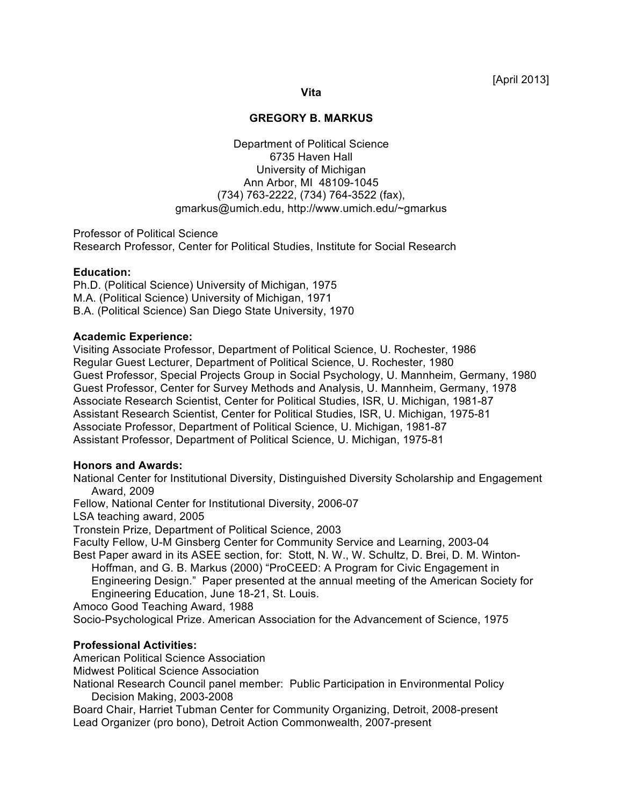### **Vita**

## **GREGORY B. MARKUS**

Department of Political Science 6735 Haven Hall University of Michigan Ann Arbor, MI 48109-1045 (734) 763-2222, (734) 764-3522 (fax), gmarkus@umich.edu, http://www.umich.edu/~gmarkus

Professor of Political Science Research Professor, Center for Political Studies, Institute for Social Research

## **Education:**

Ph.D. (Political Science) University of Michigan, 1975 M.A. (Political Science) University of Michigan, 1971 B.A. (Political Science) San Diego State University, 1970

## **Academic Experience:**

Visiting Associate Professor, Department of Political Science, U. Rochester, 1986 Regular Guest Lecturer, Department of Political Science, U. Rochester, 1980 Guest Professor, Special Projects Group in Social Psychology, U. Mannheim, Germany, 1980 Guest Professor, Center for Survey Methods and Analysis, U. Mannheim, Germany, 1978 Associate Research Scientist, Center for Political Studies, ISR, U. Michigan, 1981-87 Assistant Research Scientist, Center for Political Studies, ISR, U. Michigan, 1975-81 Associate Professor, Department of Political Science, U. Michigan, 1981-87 Assistant Professor, Department of Political Science, U. Michigan, 1975-81

## **Honors and Awards:**

National Center for Institutional Diversity, Distinguished Diversity Scholarship and Engagement Award, 2009

Fellow, National Center for Institutional Diversity, 2006-07

LSA teaching award, 2005

Tronstein Prize, Department of Political Science, 2003

Faculty Fellow, U-M Ginsberg Center for Community Service and Learning, 2003-04

Best Paper award in its ASEE section, for: Stott, N. W., W. Schultz, D. Brei, D. M. Winton-Hoffman, and G. B. Markus (2000) "ProCEED: A Program for Civic Engagement in Engineering Design." Paper presented at the annual meeting of the American Society for Engineering Education, June 18-21, St. Louis.

Amoco Good Teaching Award, 1988

Socio-Psychological Prize. American Association for the Advancement of Science, 1975

## **Professional Activities:**

American Political Science Association

Midwest Political Science Association

National Research Council panel member: Public Participation in Environmental Policy Decision Making, 2003-2008

Board Chair, Harriet Tubman Center for Community Organizing, Detroit, 2008-present Lead Organizer (pro bono), Detroit Action Commonwealth, 2007-present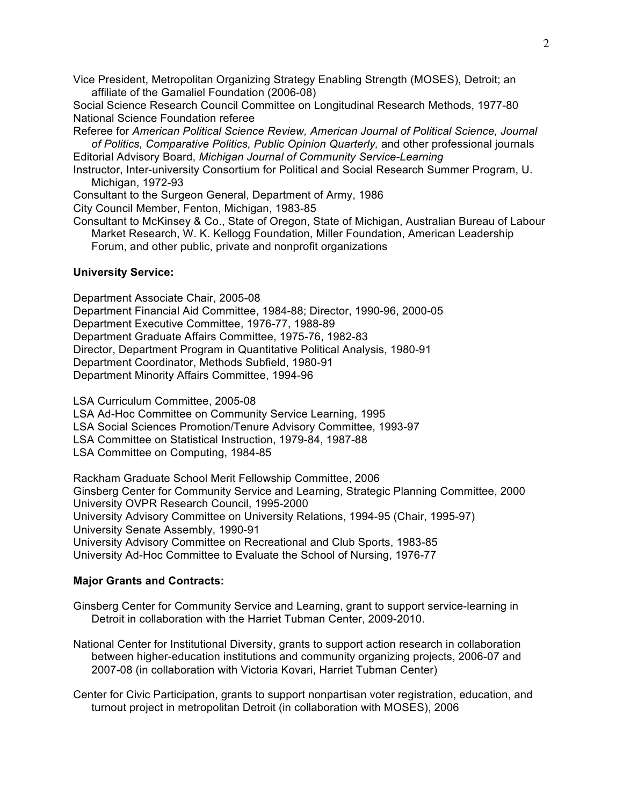Vice President, Metropolitan Organizing Strategy Enabling Strength (MOSES), Detroit; an affiliate of the Gamaliel Foundation (2006-08)

Social Science Research Council Committee on Longitudinal Research Methods, 1977-80 National Science Foundation referee

Referee for *American Political Science Review, American Journal of Political Science, Journal of Politics, Comparative Politics, Public Opinion Quarterly,* and other professional journals Editorial Advisory Board, *Michigan Journal of Community Service-Learning*

Instructor, Inter-university Consortium for Political and Social Research Summer Program, U. Michigan, 1972-93

Consultant to the Surgeon General, Department of Army, 1986

City Council Member, Fenton, Michigan, 1983-85

Consultant to McKinsey & Co., State of Oregon, State of Michigan, Australian Bureau of Labour Market Research, W. K. Kellogg Foundation, Miller Foundation, American Leadership Forum, and other public, private and nonprofit organizations

### **University Service:**

Department Associate Chair, 2005-08 Department Financial Aid Committee, 1984-88; Director, 1990-96, 2000-05 Department Executive Committee, 1976-77, 1988-89 Department Graduate Affairs Committee, 1975-76, 1982-83 Director, Department Program in Quantitative Political Analysis, 1980-91 Department Coordinator, Methods Subfield, 1980-91 Department Minority Affairs Committee, 1994-96

LSA Curriculum Committee, 2005-08

LSA Ad-Hoc Committee on Community Service Learning, 1995

LSA Social Sciences Promotion/Tenure Advisory Committee, 1993-97

LSA Committee on Statistical Instruction, 1979-84, 1987-88

LSA Committee on Computing, 1984-85

Rackham Graduate School Merit Fellowship Committee, 2006 Ginsberg Center for Community Service and Learning, Strategic Planning Committee, 2000 University OVPR Research Council, 1995-2000 University Advisory Committee on University Relations, 1994-95 (Chair, 1995-97) University Senate Assembly, 1990-91 University Advisory Committee on Recreational and Club Sports, 1983-85 University Ad-Hoc Committee to Evaluate the School of Nursing, 1976-77

## **Major Grants and Contracts:**

Ginsberg Center for Community Service and Learning, grant to support service-learning in Detroit in collaboration with the Harriet Tubman Center, 2009-2010.

National Center for Institutional Diversity, grants to support action research in collaboration between higher-education institutions and community organizing projects, 2006-07 and 2007-08 (in collaboration with Victoria Kovari, Harriet Tubman Center)

Center for Civic Participation, grants to support nonpartisan voter registration, education, and turnout project in metropolitan Detroit (in collaboration with MOSES), 2006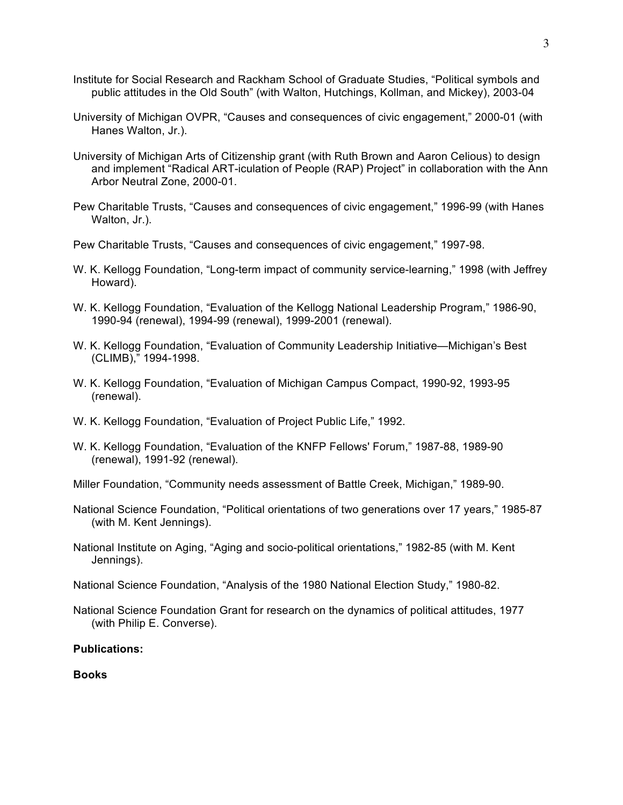- Institute for Social Research and Rackham School of Graduate Studies, "Political symbols and public attitudes in the Old South" (with Walton, Hutchings, Kollman, and Mickey), 2003-04
- University of Michigan OVPR, "Causes and consequences of civic engagement," 2000-01 (with Hanes Walton, Jr.).
- University of Michigan Arts of Citizenship grant (with Ruth Brown and Aaron Celious) to design and implement "Radical ART-iculation of People (RAP) Project" in collaboration with the Ann Arbor Neutral Zone, 2000-01.
- Pew Charitable Trusts, "Causes and consequences of civic engagement," 1996-99 (with Hanes Walton, Jr.).
- Pew Charitable Trusts, "Causes and consequences of civic engagement," 1997-98.
- W. K. Kellogg Foundation, "Long-term impact of community service-learning," 1998 (with Jeffrey Howard).
- W. K. Kellogg Foundation, "Evaluation of the Kellogg National Leadership Program," 1986-90, 1990-94 (renewal), 1994-99 (renewal), 1999-2001 (renewal).
- W. K. Kellogg Foundation, "Evaluation of Community Leadership Initiative—Michigan's Best (CLIMB)," 1994-1998.
- W. K. Kellogg Foundation, "Evaluation of Michigan Campus Compact, 1990-92, 1993-95 (renewal).
- W. K. Kellogg Foundation, "Evaluation of Project Public Life," 1992.
- W. K. Kellogg Foundation, "Evaluation of the KNFP Fellows' Forum," 1987-88, 1989-90 (renewal), 1991-92 (renewal).

Miller Foundation, "Community needs assessment of Battle Creek, Michigan," 1989-90.

- National Science Foundation, "Political orientations of two generations over 17 years," 1985-87 (with M. Kent Jennings).
- National Institute on Aging, "Aging and socio-political orientations," 1982-85 (with M. Kent Jennings).
- National Science Foundation, "Analysis of the 1980 National Election Study," 1980-82.
- National Science Foundation Grant for research on the dynamics of political attitudes, 1977 (with Philip E. Converse).

# **Publications:**

#### **Books**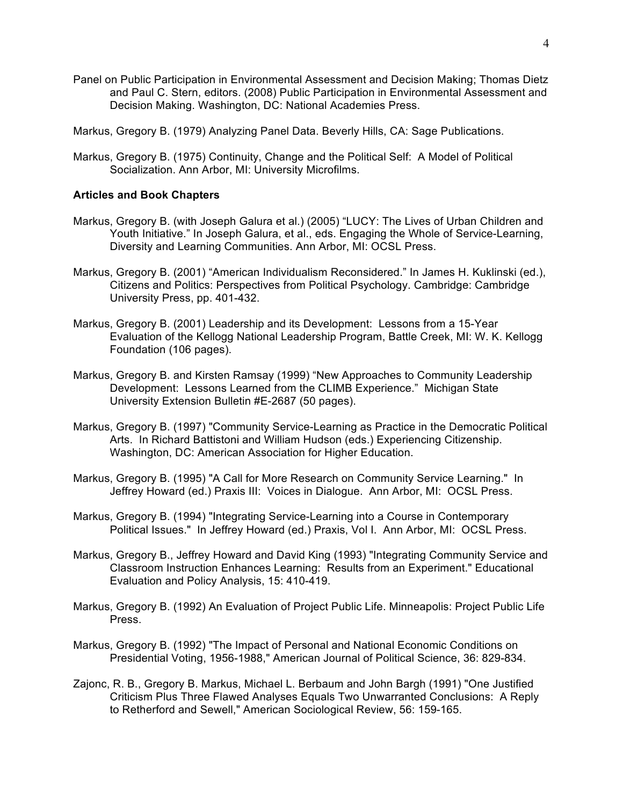Panel on Public Participation in Environmental Assessment and Decision Making; Thomas Dietz and Paul C. Stern, editors. (2008) Public Participation in Environmental Assessment and Decision Making. Washington, DC: National Academies Press.

Markus, Gregory B. (1979) Analyzing Panel Data. Beverly Hills, CA: Sage Publications.

Markus, Gregory B. (1975) Continuity, Change and the Political Self: A Model of Political Socialization. Ann Arbor, MI: University Microfilms.

## **Articles and Book Chapters**

- Markus, Gregory B. (with Joseph Galura et al.) (2005) "LUCY: The Lives of Urban Children and Youth Initiative." In Joseph Galura, et al., eds. Engaging the Whole of Service-Learning, Diversity and Learning Communities. Ann Arbor, MI: OCSL Press.
- Markus, Gregory B. (2001) "American Individualism Reconsidered." In James H. Kuklinski (ed.), Citizens and Politics: Perspectives from Political Psychology. Cambridge: Cambridge University Press, pp. 401-432.
- Markus, Gregory B. (2001) Leadership and its Development: Lessons from a 15-Year Evaluation of the Kellogg National Leadership Program, Battle Creek, MI: W. K. Kellogg Foundation (106 pages).
- Markus, Gregory B. and Kirsten Ramsay (1999) "New Approaches to Community Leadership Development: Lessons Learned from the CLIMB Experience." Michigan State University Extension Bulletin #E-2687 (50 pages).
- Markus, Gregory B. (1997) "Community Service-Learning as Practice in the Democratic Political Arts. In Richard Battistoni and William Hudson (eds.) Experiencing Citizenship. Washington, DC: American Association for Higher Education.
- Markus, Gregory B. (1995) "A Call for More Research on Community Service Learning." In Jeffrey Howard (ed.) Praxis III: Voices in Dialogue. Ann Arbor, MI: OCSL Press.
- Markus, Gregory B. (1994) "Integrating Service-Learning into a Course in Contemporary Political Issues." In Jeffrey Howard (ed.) Praxis, Vol I. Ann Arbor, MI: OCSL Press.
- Markus, Gregory B., Jeffrey Howard and David King (1993) "Integrating Community Service and Classroom Instruction Enhances Learning: Results from an Experiment." Educational Evaluation and Policy Analysis, 15: 410-419.
- Markus, Gregory B. (1992) An Evaluation of Project Public Life. Minneapolis: Project Public Life Press.
- Markus, Gregory B. (1992) "The Impact of Personal and National Economic Conditions on Presidential Voting, 1956-1988," American Journal of Political Science, 36: 829-834.
- Zajonc, R. B., Gregory B. Markus, Michael L. Berbaum and John Bargh (1991) "One Justified Criticism Plus Three Flawed Analyses Equals Two Unwarranted Conclusions: A Reply to Retherford and Sewell," American Sociological Review, 56: 159-165.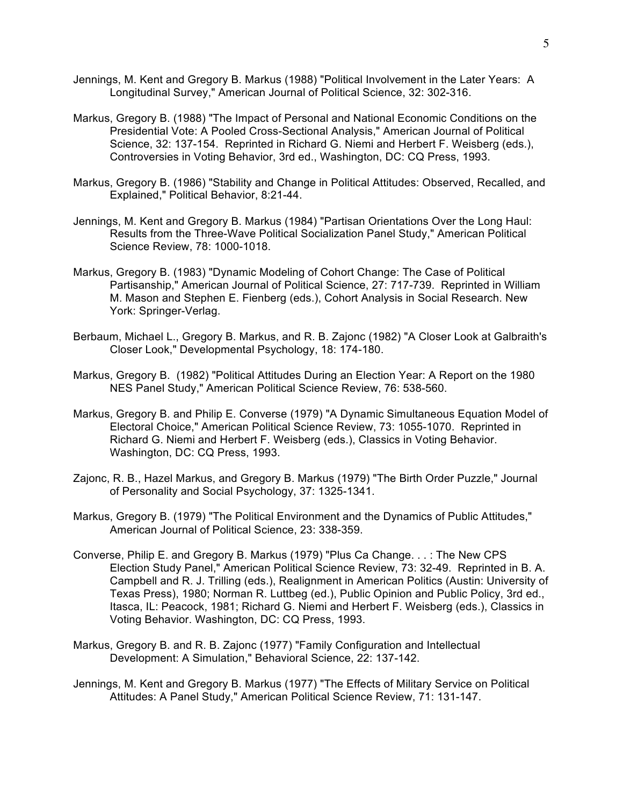- Jennings, M. Kent and Gregory B. Markus (1988) "Political Involvement in the Later Years: A Longitudinal Survey," American Journal of Political Science, 32: 302-316.
- Markus, Gregory B. (1988) "The Impact of Personal and National Economic Conditions on the Presidential Vote: A Pooled Cross-Sectional Analysis," American Journal of Political Science, 32: 137-154. Reprinted in Richard G. Niemi and Herbert F. Weisberg (eds.), Controversies in Voting Behavior, 3rd ed., Washington, DC: CQ Press, 1993.
- Markus, Gregory B. (1986) "Stability and Change in Political Attitudes: Observed, Recalled, and Explained," Political Behavior, 8:21-44.
- Jennings, M. Kent and Gregory B. Markus (1984) "Partisan Orientations Over the Long Haul: Results from the Three-Wave Political Socialization Panel Study," American Political Science Review, 78: 1000-1018.
- Markus, Gregory B. (1983) "Dynamic Modeling of Cohort Change: The Case of Political Partisanship," American Journal of Political Science, 27: 717-739. Reprinted in William M. Mason and Stephen E. Fienberg (eds.), Cohort Analysis in Social Research. New York: Springer-Verlag.
- Berbaum, Michael L., Gregory B. Markus, and R. B. Zajonc (1982) "A Closer Look at Galbraith's Closer Look," Developmental Psychology, 18: 174-180.
- Markus, Gregory B. (1982) "Political Attitudes During an Election Year: A Report on the 1980 NES Panel Study," American Political Science Review, 76: 538-560.
- Markus, Gregory B. and Philip E. Converse (1979) "A Dynamic Simultaneous Equation Model of Electoral Choice," American Political Science Review, 73: 1055-1070. Reprinted in Richard G. Niemi and Herbert F. Weisberg (eds.), Classics in Voting Behavior. Washington, DC: CQ Press, 1993.
- Zajonc, R. B., Hazel Markus, and Gregory B. Markus (1979) "The Birth Order Puzzle," Journal of Personality and Social Psychology, 37: 1325-1341.
- Markus, Gregory B. (1979) "The Political Environment and the Dynamics of Public Attitudes," American Journal of Political Science, 23: 338-359.
- Converse, Philip E. and Gregory B. Markus (1979) "Plus Ca Change. . . : The New CPS Election Study Panel," American Political Science Review, 73: 32-49. Reprinted in B. A. Campbell and R. J. Trilling (eds.), Realignment in American Politics (Austin: University of Texas Press), 1980; Norman R. Luttbeg (ed.), Public Opinion and Public Policy, 3rd ed., Itasca, IL: Peacock, 1981; Richard G. Niemi and Herbert F. Weisberg (eds.), Classics in Voting Behavior. Washington, DC: CQ Press, 1993.
- Markus, Gregory B. and R. B. Zajonc (1977) "Family Configuration and Intellectual Development: A Simulation," Behavioral Science, 22: 137-142.
- Jennings, M. Kent and Gregory B. Markus (1977) "The Effects of Military Service on Political Attitudes: A Panel Study," American Political Science Review, 71: 131-147.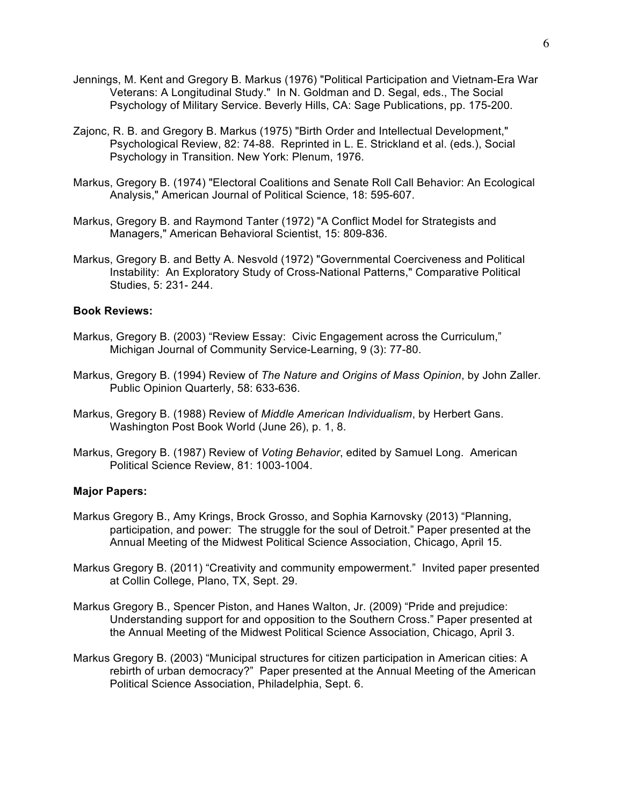- Jennings, M. Kent and Gregory B. Markus (1976) "Political Participation and Vietnam-Era War Veterans: A Longitudinal Study." In N. Goldman and D. Segal, eds., The Social Psychology of Military Service. Beverly Hills, CA: Sage Publications, pp. 175-200.
- Zajonc, R. B. and Gregory B. Markus (1975) "Birth Order and Intellectual Development," Psychological Review, 82: 74-88. Reprinted in L. E. Strickland et al. (eds.), Social Psychology in Transition. New York: Plenum, 1976.
- Markus, Gregory B. (1974) "Electoral Coalitions and Senate Roll Call Behavior: An Ecological Analysis," American Journal of Political Science, 18: 595-607.
- Markus, Gregory B. and Raymond Tanter (1972) "A Conflict Model for Strategists and Managers," American Behavioral Scientist, 15: 809-836.
- Markus, Gregory B. and Betty A. Nesvold (1972) "Governmental Coerciveness and Political Instability: An Exploratory Study of Cross-National Patterns," Comparative Political Studies, 5: 231- 244.

### **Book Reviews:**

- Markus, Gregory B. (2003) "Review Essay: Civic Engagement across the Curriculum," Michigan Journal of Community Service-Learning, 9 (3): 77-80.
- Markus, Gregory B. (1994) Review of *The Nature and Origins of Mass Opinion*, by John Zaller. Public Opinion Quarterly, 58: 633-636.
- Markus, Gregory B. (1988) Review of *Middle American Individualism*, by Herbert Gans. Washington Post Book World (June 26), p. 1, 8.
- Markus, Gregory B. (1987) Review of *Voting Behavior*, edited by Samuel Long. American Political Science Review, 81: 1003-1004.

### **Major Papers:**

- Markus Gregory B., Amy Krings, Brock Grosso, and Sophia Karnovsky (2013) "Planning, participation, and power: The struggle for the soul of Detroit." Paper presented at the Annual Meeting of the Midwest Political Science Association, Chicago, April 15.
- Markus Gregory B. (2011) "Creativity and community empowerment." Invited paper presented at Collin College, Plano, TX, Sept. 29.
- Markus Gregory B., Spencer Piston, and Hanes Walton, Jr. (2009) "Pride and prejudice: Understanding support for and opposition to the Southern Cross." Paper presented at the Annual Meeting of the Midwest Political Science Association, Chicago, April 3.
- Markus Gregory B. (2003) "Municipal structures for citizen participation in American cities: A rebirth of urban democracy?" Paper presented at the Annual Meeting of the American Political Science Association, Philadelphia, Sept. 6.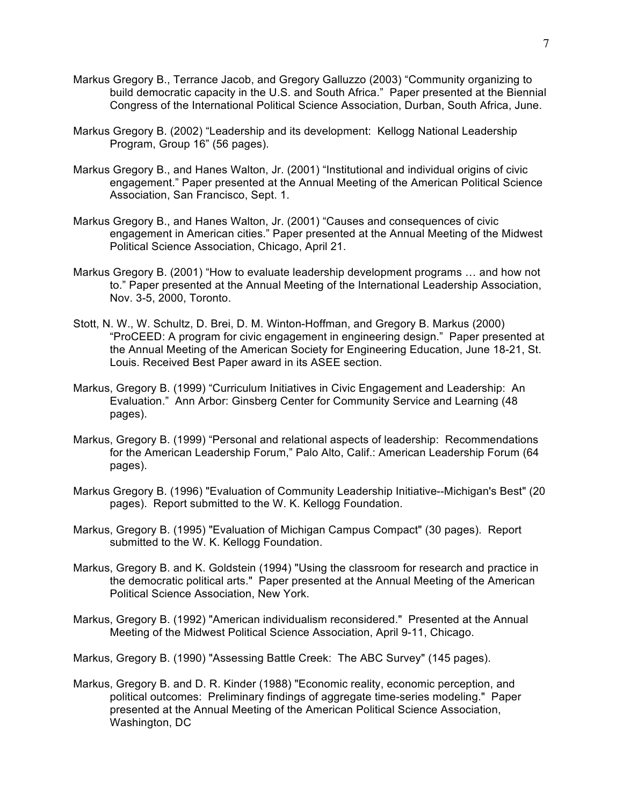- Markus Gregory B., Terrance Jacob, and Gregory Galluzzo (2003) "Community organizing to build democratic capacity in the U.S. and South Africa." Paper presented at the Biennial Congress of the International Political Science Association, Durban, South Africa, June.
- Markus Gregory B. (2002) "Leadership and its development: Kellogg National Leadership Program, Group 16" (56 pages).
- Markus Gregory B., and Hanes Walton, Jr. (2001) "Institutional and individual origins of civic engagement." Paper presented at the Annual Meeting of the American Political Science Association, San Francisco, Sept. 1.
- Markus Gregory B., and Hanes Walton, Jr. (2001) "Causes and consequences of civic engagement in American cities." Paper presented at the Annual Meeting of the Midwest Political Science Association, Chicago, April 21.
- Markus Gregory B. (2001) "How to evaluate leadership development programs … and how not to." Paper presented at the Annual Meeting of the International Leadership Association, Nov. 3-5, 2000, Toronto.
- Stott, N. W., W. Schultz, D. Brei, D. M. Winton-Hoffman, and Gregory B. Markus (2000) "ProCEED: A program for civic engagement in engineering design." Paper presented at the Annual Meeting of the American Society for Engineering Education, June 18-21, St. Louis. Received Best Paper award in its ASEE section.
- Markus, Gregory B. (1999) "Curriculum Initiatives in Civic Engagement and Leadership: An Evaluation." Ann Arbor: Ginsberg Center for Community Service and Learning (48 pages).
- Markus, Gregory B. (1999) "Personal and relational aspects of leadership: Recommendations for the American Leadership Forum," Palo Alto, Calif.: American Leadership Forum (64 pages).
- Markus Gregory B. (1996) "Evaluation of Community Leadership Initiative--Michigan's Best" (20 pages). Report submitted to the W. K. Kellogg Foundation.
- Markus, Gregory B. (1995) "Evaluation of Michigan Campus Compact" (30 pages). Report submitted to the W. K. Kellogg Foundation.
- Markus, Gregory B. and K. Goldstein (1994) "Using the classroom for research and practice in the democratic political arts." Paper presented at the Annual Meeting of the American Political Science Association, New York.
- Markus, Gregory B. (1992) "American individualism reconsidered." Presented at the Annual Meeting of the Midwest Political Science Association, April 9-11, Chicago.
- Markus, Gregory B. (1990) "Assessing Battle Creek: The ABC Survey" (145 pages).
- Markus, Gregory B. and D. R. Kinder (1988) "Economic reality, economic perception, and political outcomes: Preliminary findings of aggregate time-series modeling." Paper presented at the Annual Meeting of the American Political Science Association, Washington, DC